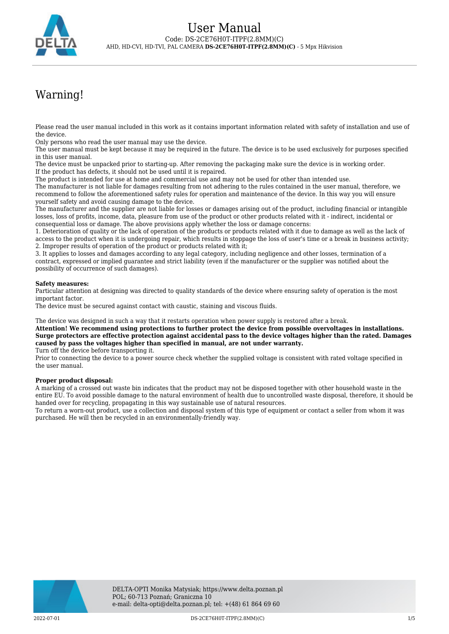

# Warning!

Please read the user manual included in this work as it contains important information related with safety of installation and use of the device.

Only persons who read the user manual may use the device.

The user manual must be kept because it may be required in the future. The device is to be used exclusively for purposes specified in this user manual.

The device must be unpacked prior to starting-up. After removing the packaging make sure the device is in working order. If the product has defects, it should not be used until it is repaired.

The product is intended for use at home and commercial use and may not be used for other than intended use.

The manufacturer is not liable for damages resulting from not adhering to the rules contained in the user manual, therefore, we recommend to follow the aforementioned safety rules for operation and maintenance of the device. In this way you will ensure yourself safety and avoid causing damage to the device.

The manufacturer and the supplier are not liable for losses or damages arising out of the product, including financial or intangible losses, loss of profits, income, data, pleasure from use of the product or other products related with it - indirect, incidental or consequential loss or damage. The above provisions apply whether the loss or damage concerns:

1. Deterioration of quality or the lack of operation of the products or products related with it due to damage as well as the lack of access to the product when it is undergoing repair, which results in stoppage the loss of user's time or a break in business activity; 2. Improper results of operation of the product or products related with it;

3. It applies to losses and damages according to any legal category, including negligence and other losses, termination of a contract, expressed or implied guarantee and strict liability (even if the manufacturer or the supplier was notified about the possibility of occurrence of such damages).

#### **Safety measures:**

Particular attention at designing was directed to quality standards of the device where ensuring safety of operation is the most important factor.

The device must be secured against contact with caustic, staining and viscous fluids.

The device was designed in such a way that it restarts operation when power supply is restored after a break.

**Attention! We recommend using protections to further protect the device from possible overvoltages in installations. Surge protectors are effective protection against accidental pass to the device voltages higher than the rated. Damages caused by pass the voltages higher than specified in manual, are not under warranty.**

Turn off the device before transporting it.

Prior to connecting the device to a power source check whether the supplied voltage is consistent with rated voltage specified in the user manual.

#### **Proper product disposal:**

A marking of a crossed out waste bin indicates that the product may not be disposed together with other household waste in the entire EU. To avoid possible damage to the natural environment of health due to uncontrolled waste disposal, therefore, it should be handed over for recycling, propagating in this way sustainable use of natural resources.

To return a worn-out product, use a collection and disposal system of this type of equipment or contact a seller from whom it was purchased. He will then be recycled in an environmentally-friendly way.

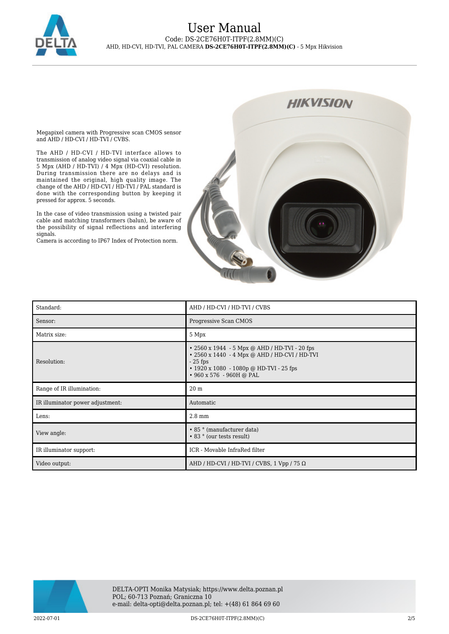

Megapixel camera with Progressive scan CMOS sensor and AHD / HD-CVI / HD-TVI / CVBS.

The AHD / HD-CVI / HD-TVI interface allows to transmission of analog video signal via coaxial cable in 5 Mpx (AHD / HD-TVI) / 4 Mpx (HD-CVI) resolution. During transmission there are no delays and is maintained the original, high quality image. The change of the AHD / HD-CVI / HD-TVI / PAL standard is done with the corresponding button by keeping it pressed for approx. 5 seconds.

In the case of video transmission using a twisted pair cable and matching transformers (balun), be aware of the possibility of signal reflections and interfering signals.

Camera is according to IP67 Index of Protection norm.



| Standard:                        | AHD / HD-CVI / HD-TVI / CVBS                                                                                                                                                             |
|----------------------------------|------------------------------------------------------------------------------------------------------------------------------------------------------------------------------------------|
| Sensor:                          | Progressive Scan CMOS                                                                                                                                                                    |
| Matrix size:                     | 5 Mpx                                                                                                                                                                                    |
| Resolution:                      | • 2560 x 1944 - 5 Mpx @ AHD / HD-TVI - 20 fps<br>• 2560 x 1440 - 4 Mpx @ AHD / HD-CVI / HD-TVI<br>$-25$ fps<br>$\cdot$ 1920 x 1080 - 1080p @ HD-TVI - 25 fps<br>• 960 x 576 - 960H @ PAL |
| Range of IR illumination:        | 20 <sub>m</sub>                                                                                                                                                                          |
| IR illuminator power adjustment: | Automatic                                                                                                                                                                                |
| Lens:                            | $2.8 \text{ mm}$                                                                                                                                                                         |
| View angle:                      | • 85 ° (manufacturer data)<br>• 83 ° (our tests result)                                                                                                                                  |
| IR illuminator support:          | ICR - Movable InfraRed filter                                                                                                                                                            |
| Video output:                    | AHD / HD-CVI / HD-TVI / CVBS, 1 Vpp / 75 $\Omega$                                                                                                                                        |

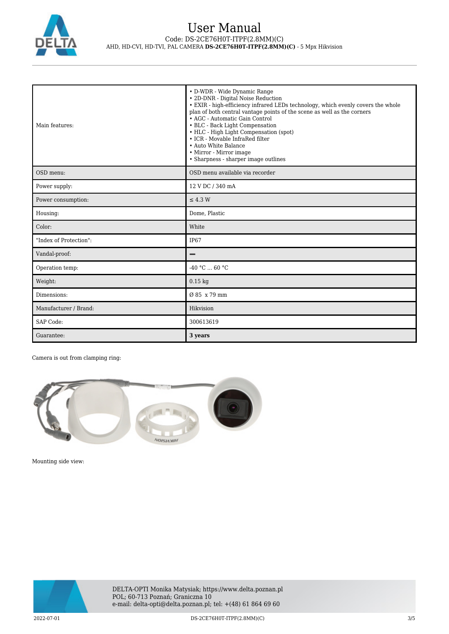

| Main features:         | • D-WDR - Wide Dynamic Range<br>• 2D-DNR - Digital Noise Reduction<br>• EXIR - high-efficiency infrared LEDs technology, which evenly covers the whole<br>plan of both central vantage points of the scene as well as the corners<br>• AGC - Automatic Gain Control<br>• BLC - Back Light Compensation<br>• HLC - High Light Compensation (spot)<br>• ICR - Movable InfraRed filter<br>• Auto White Balance<br>• Mirror - Mirror image<br>• Sharpness - sharper image outlines |
|------------------------|--------------------------------------------------------------------------------------------------------------------------------------------------------------------------------------------------------------------------------------------------------------------------------------------------------------------------------------------------------------------------------------------------------------------------------------------------------------------------------|
| OSD menu:              | OSD menu available via recorder                                                                                                                                                                                                                                                                                                                                                                                                                                                |
| Power supply:          | 12 V DC / 340 mA                                                                                                                                                                                                                                                                                                                                                                                                                                                               |
| Power consumption:     | $\leq$ 4.3 W                                                                                                                                                                                                                                                                                                                                                                                                                                                                   |
| Housing:               | Dome, Plastic                                                                                                                                                                                                                                                                                                                                                                                                                                                                  |
| Color:                 | White                                                                                                                                                                                                                                                                                                                                                                                                                                                                          |
| "Index of Protection": | IP <sub>67</sub>                                                                                                                                                                                                                                                                                                                                                                                                                                                               |
| Vandal-proof:          |                                                                                                                                                                                                                                                                                                                                                                                                                                                                                |
| Operation temp:        | $-40 °C  60 °C$                                                                                                                                                                                                                                                                                                                                                                                                                                                                |
| Weight:                | $0.15$ kg                                                                                                                                                                                                                                                                                                                                                                                                                                                                      |
| Dimensions:            | Ø 85 x 79 mm                                                                                                                                                                                                                                                                                                                                                                                                                                                                   |
| Manufacturer / Brand:  | Hikvision                                                                                                                                                                                                                                                                                                                                                                                                                                                                      |
| SAP Code:              | 300613619                                                                                                                                                                                                                                                                                                                                                                                                                                                                      |
| Guarantee:             | 3 years                                                                                                                                                                                                                                                                                                                                                                                                                                                                        |

Camera is out from clamping ring:



Mounting side view:

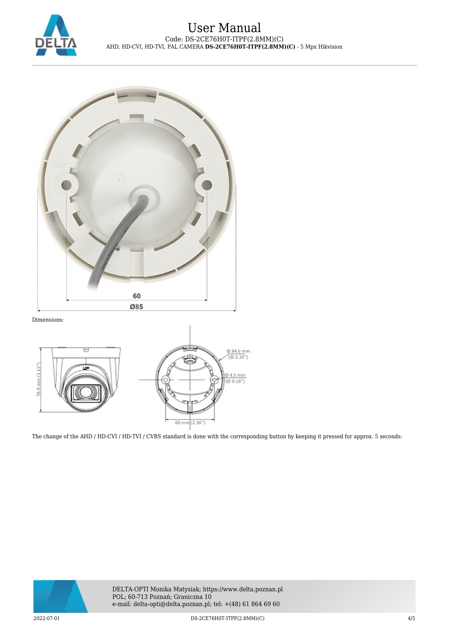



Dimensions:



The change of the AHD / HD-CVI / HD-TVI / CVBS standard is done with the corresponding button by keeping it pressed for approx. 5 seconds: